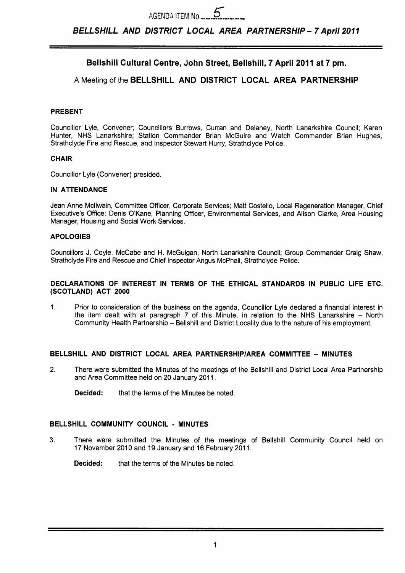# **Bellshill Cultural Centre, John Street, Bellshill, 7 April 2011 at 7 pm.**

# **A** Meeting of the **BELLSHILL AND DISTRICT LOCAL AREA PARTNERSHIP**

#### **PRESENT**

Councillor Lyle, Convener; Councillors Burrows, Curran and Delaney, North Lanarkshire Council; Karen Hunter, NHS Lanarkshire; Station Commander Brian McGuire and Watch Commander Brian Hughes, Strathclyde Fire and Rescue, and Inspector Stewart Hurry, Strathclyde Police.

#### **CHAIR**

Councillor Lyle (Convener) presided.

#### **IN ATTENDANCE**

Jean Anne Mcllwain, Committee Officer, Corporate Services; Matt Costello, Local Regeneration Manager, Chief Executive's Office; Denis O'Kane, Planning Officer, Environmental Services, and Alison Clarke, Area Housing Manager, Housing and Social Work Services.

## **APOLOGIES**

Councillors J. Coyle, McCabe and H. McGuigan, North Lanarkshire Council; Group Commander Craig Shaw, Strathclyde Fire and Rescue and Chief Inspector Angus McPhail, Strathclyde Police.

#### **DECLARATIONS OF INTEREST IN TERMS OF THE ETHICAL STANDARDS IN PUBLIC LIFE ETC. (SCOTLAND) ACT 2000**

1. Prior to consideration of the business on the agenda, Councillor Lyle declared a financial interest in the item dealt with at paragraph 7 of this Minute, in relation to the NHS Lanarkshire - North Community Health Partnership - Bellshill and District Locality due to the nature of his employment.

## **BELLSHILL AND DISTRICT LOCAL AREA PARTNERSHIP/AREA COMMITTEE - MINUTES**

- **2.** There were submitted the Minutes of the meetings of the Bellshill and District Local Area Partnership and Area Committee held on 20 January 2011.
	- **Decided:** that the terms of the Minutes be noted.

#### **BELLSHILL COMMUNITY COUNCIL** - **MINUTES**

3. There were submitted the Minutes of the meetings of Bellshill Community Council held on 17 November 2010 and 19 January and 16 February 2011.

**Decided:** that the terms of the Minutes be noted.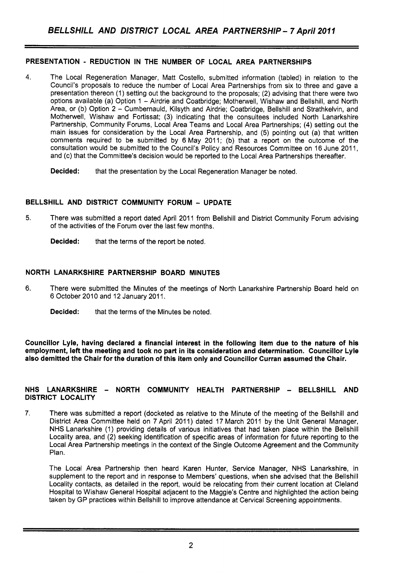## **PRESENTATION** - **REDUCTION IN THE NUMBER OF LOCAL AREA PARTNERSHIPS**

- **4.** The Local Regeneration Manager, Matt Costello, submitted information (tabled) in relation to the Council's proposals to reduce the number of Local Area Partnerships from six to three and gave a presentation thereon (1) setting out the background to the proposals; (2) advising that there were two options available (a) Option 1 - Airdrie and Coatbridge; Motherwell, Wishaw and Bellshill, and North Area, or (b) Option 2 - Cumbernauld, Kilsyth and Airdrie; Coatbridge, Bellshill and Strathkelvin, and Motherwell, Wishaw and Fortissat; (3) indicating that the consultees included North Lanarkshire Partnership, Community Forums, Local Area Teams and Local Area Partnerships; **(4)** setting out the main issues for consideration by the Local Area Partnership, and (5) pointing out (a) that written comments required to be submitted by 6 May 2011; (b) that a report on the outcome of the consultation would be submitted to the Council's Policy and Resources Committee on 16 June 2011, and (c) that the Committee's decision would be reported to the Local Area Partnerships thereafter.
	- **Decided:** that the presentation by the Local Regeneration Manager be noted.

## **BELLSHILL AND DISTRICT COMMUNITY FORUM** - **UPDATE**

- 5. There was submitted a report dated April 201 1 from Bellshill and District Community Forum advising of the activities of the Forum over the last few months.
	- **Decided:** that the terms of the report be noted.

## **NORTH LANARKSHIRE PARTNERSHIP BOARD MINUTES**

- 6. There were submitted the Minutes of the meetings of North Lanarkshire Partnership Board held on 6 October 2010 and 12 January 2011.
	- **Decided:** that the terms of the Minutes be noted.

**Councillor Lyle, having declared a financial interest in the following item due to the nature of his employment, left the meeting and took no part in its consideration and determination. Councillor Lyle also demitted the Chair for the duration of this item only and Councillor Curran assumed the Chair.** 

#### **NHS LANARKSHIRE** - **NORTH COMMUNITY HEALTH PARTNERSHIP** - **BELLSHILL AND DISTRICT LOCALITY**

7. There was submitted a report (docketed as relative to the Minute of the meeting of the Bellshill and District Area Committee held on 7 April 2011) dated 17 March 2011 by the Unit General Manager, NHS Lanarkshire (1) providing details of various initiatives that had taken place within the Bellshill Locality area, and (2) seeking identification of specific areas of information for future reporting to the Local Area Partnership meetings in the context of the Single Outcome Agreement and the Community Plan.

The Local Area Partnership then heard Karen Hunter, Service Manager, NHS Lanarkshire, in supplement to the report and in response to Members' questions, when she advised that the Bellshill Locality contacts, as detailed in the report, would be relocating from their current location at Cleland Hospital to Wishaw General Hospital adjacent to the Maggie's Centre and highlighted the action being taken by GP practices within Bellshill to improve attendance at Cervical Screening appointments.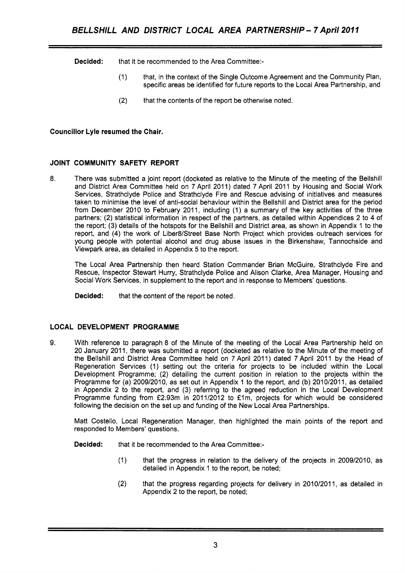**Decided:** that it be recommended to the Area Committee:-

- (1) that, in the context of the Single Outcome Agreement and the Community Plan, specific areas be identified for future reports to the Local Area Partnership, and
- (2) that the contents of the report be otherwise noted.

## **Councillor Lyle resumed the Chair.**

## **JOINT COMMUNITY SAFETY REPORT**

**8.** There was submitted a joint report (docketed as relative to the Minute of the meeting of the Bellshill and District Area Committee held on 7 April 2011) dated 7 April 2011 by Housing and Social Work Services, Strathclyde Police and Strathclyde Fire and Rescue advising of initiatives and measures taken to minimise the level of anti-social behaviour within the Bellshill and District area for the period from December 2010 to February 2011, including (1) a summary of the key activities of the three partners; (2) statistical information in respect of the partners, as detailed within Appendices 2 to **4** of the report; (3) details of the hotspots for the Bellshill and District area, as shown in Appendix I to the report, and **(4)** the work of Liber8/Street Base North Project which provides outreach services for young people with potential alcohol and drug abuse issues in the Birkenshaw, Tannochside and Viewpark area, as detailed in Appendix 5 to the report.

The Local Area Partnership then heard Station Commander Brian McGuire, Strathclyde Fire and Rescue, Inspector Stewart Hurry, Strathclyde Police and Alison Clarke, Area Manager, Housing and Social Work Services, in supplement to the report and in response to Members' questions.

**Decided:** that the content of the report be noted.

## **LOCAL DEVELOPMENT PROGRAMME**

9. With reference to paragraph 8 of the Minute of the meeting of the Local Area Partnership held on 20 January 2011, there was submitted a report (docketed as relative to the Minute of the meeting of the Bellshill and District Area Committee held on 7 April 2011) dated 7 April 2011 by the Head of Regeneration Services (1) setting out the criteria for projects to be included within the Local Development Programme; (2) detailing the current position in relation to the projects within the Programme for (a) 2009/2010, as set out in Appendix 1 to the report, and (b) 2010/2011, as detailed in Appendix 2 to the report, and (3) referring to the agreed reduction in the Local Development Programme funding from £2.93m in 2011/2012 to £1m, projects for which would be considered following the decision on the set up and funding of the New Local Area Partnerships.

Matt Costello, Local Regeneration Manager, then highlighted the main points of the report and responded to Members' questions.

**Decided:** that it be recommended to the Area Committee:-

- (1) that the progress in relation to the delivery of the projects in 2009/2010, as detailed in Appendix 1 to the report, be noted;
- (2) that the progress regarding projects for delivery in 2010/2011, as detailed in Appendix 2 to the report, be noted;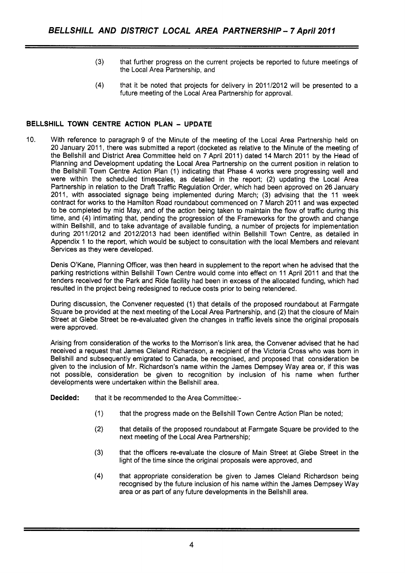- (3) that further progress on the current projects be reported to future meetings of the Local Area Partnership, and
- **(4)** that it be noted that projects for delivery in 2011/2012 will be presented to a future meeting of the Local Area Partnership for approval.

## **BELLSHILL TOWN CENTRE ACTION PLAN** - **UPDATE**

10. With reference to paragraph 9 of the Minute of the meeting of the Local Area Partnership held on 20 January 201 1, there was submitted a report (docketed as relative to the Minute of the meeting of the Bellshill and District Area Committee held on 7 April 2011) dated 14 March 2011 by the Head of Planning and Development updating the Local Area Partnership on the current position in relation to the Bellshill Town Centre Action Plan (1) indicating that Phase 4 works were progressing well and were within the scheduled timescales, as detailed in the report; (2) updating the Local Area Partnership in relation to the Draft Traffic Regulation Order, which had been approved on 26 January 2011, with associated signage being implemented during March; (3) advising that the 11 week contract for works to the Hamilton Road roundabout commenced on 7 March 2011 and was expected to be completed by mid May, and of the action being taken to maintain the flow of traffic during this time, and (4) intimating that, pending the progression of the Frameworks for the growth and change within Bellshill, and to take advantage of available funding, a number of projects for implementation during 201 1/2012 and 2012/2013 had been identified within Bellshill Town Centre, as detailed in Appendix 1 to the report, which would be subject to consultation with the local Members and relevant Services as they were developed.

Denis O'Kane, Planning Officer, was then heard in supplement to the report when he advised that the parking restrictions within Bellshill Town Centre would come into effect on 11 April 2011 and that the tenders received for the Park and Ride facility had been in excess of the allocated funding, which had resulted in the project being redesigned to reduce costs prior to being retendered.

During discussion, the Convener requested (1) that details of the proposed roundabout at Farmgate Square be provided at the next meeting of the Local Area Partnership, and (2) that the closure of Main Street at Glebe Street be re-evaluated given the changes in traffic levels since the original proposals were approved.

Arising from consideration of the works to the Morrison's link area, the Convener advised that he had received a request that James Cleland Richardson, a recipient of the Victoria Cross who was born in Bellshill and subsequently emigrated to Canada, be recognised, and proposed that consideration be given to the inclusion of Mr. Richardson's name within the James Dempsey Way area or, if this was not possible, consideration be given to recognition by inclusion of his name when further developments were undertaken within the Bellshill area.

**Decided:** that it be recommended to the Area Committee:-

- (1) that the progress made on the Bellshill Town Centre Action Plan be noted;
- (2) that details of the proposed roundabout at Farmgate Square be provided to the next meeting of the Local Area Partnership;
- (3) that the officers re-evaluate the closure of Main Street at Glebe Street in the light of the time since the original proposals were approved, and
- (4) that appropriate consideration be given to James Cleland Richardson being recognised by the future inclusion of his name within the James Dempsey Way area or as part of any future developments in the Bellshill area.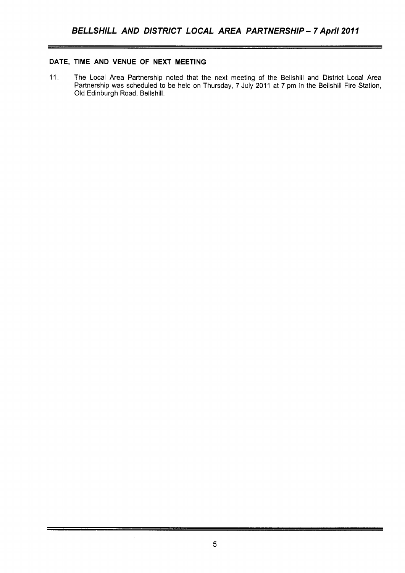## **DATE, TIME AND VENUE OF NEXT MEETING**

11. The Local Area Partnership noted that the next meeting of the Bellshill and District Local Area Partnership was scheduled to be held on Thursday, 7 July 2011 at 7 pm in the Bellshill Fire Station, Old Edinburgh Road, Bellshill.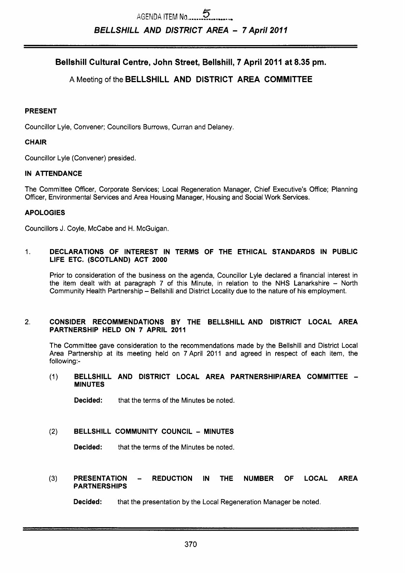Bellshill Cultural Centre, John Street, Bellshill, 7 April 2011 at 8.35 pm.

# **A** Meeting of the **BELLSHILL AND DISTRICT AREA COMMITTEE**

#### **PRESENT**

Councillor Lyle, Convener; Councillors Burrows, Curran and Delaney.

#### **CHAIR**

Councillor Lyle (Convener) presided.

#### **IN ATTENDANCE**

The Committee Officer, Corporate Services; Local Regeneration Manager, Chief Executive's Office; Planning Officer, Environmental Services and Area Housing Manager, Housing and Social Work Services.

#### **APOLOGIES**

Councillors J. Coyle, McCabe and H. McGuigan.

#### 1. **DECLARATIONS OF INTEREST IN TERMS OF THE ETHICAL STANDARDS IN PUBLIC LIFE ETC. (SCOTLAND) ACT 2000**

Prior to consideration of the business on the agenda, Councillor Lyle declared a financial interest in the item dealt with at paragraph 7 of this Minute, in relation to the NHS Lanarkshire  $-$  North Community Health Partnership - Bellshill and District Locality due to the nature of his employment.

#### 2. **CONSIDER RECOMMENDATIONS BY THE BELLSHILL AND DISTRICT LOCAL AREA PARTNERSHIP HELD ON 7 APRIL 2011**

The Committee gave consideration to the recommendations made by the Bellshill and District Local Area Partnership at its meeting held on 7 April 2011 and agreed in respect of each item, the following:-

#### (1) **BELLSHILL AND DISTRICT LOCAL AREA PARTNERSHIPIAREA COMMllTEE** - **MINUTES**

**Decided:** that the terms of the Minutes be noted.

#### **(2) BELLSHILL COMMUNITY COUNCIL** - **MINUTES**

**Decided:** that the terms of the Minutes be noted.

# **(3) PRESENTATION** - **REDUCTION IN THE NUMBER OF LOCAL AREA PARTNERSHIPS**

**Decided:** that the presentation by the Local Regeneration Manager be noted.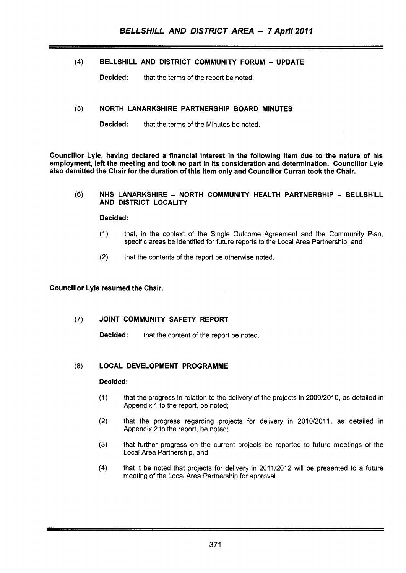## **(4)** BELLSHILL AND DISTRICT COMMUNITY FORUM - UPDATE

**Decided:** that the terms of the report be noted.

## **(5)** NORTH LANARKSHIRE PARTNERSHIP BOARD MINUTES

**Decided:** that the terms of the Minutes be noted.

Councillor Lyle, having declared a financial interest in the following item due to the nature of his employment, left the meeting and took no part in its consideration and determination. Councillor Lyle also demitted the Chair for the duration of this item only and Councillor Curran took the Chair.

#### **(6)** NHS LANARKSHIRE - NORTH COMMUNITY HEALTH PARTNERSHIP - BELLSHILL AND DISTRICT LOCALITY

#### Decided:

- (1) that, in the context of the Single Outcome Agreement and the Community Plan, specific areas be identified for future reports to the Local Area Partnership, and
- (2) that the contents of the report be otherwise noted.

#### Councillor Lyle resumed the Chair.

## (7) JOINT COMMUNITY SAFETY REPORT

Decided: that the content of the report be noted.

## (8) LOCAL DEVELOPMENT PROGRAMME

#### Decided:

- (1) that the progress in relation to the delivery of the projects in 2009/2010, as detailed in Appendix 1 to the report, be noted;
- (2) that the progress regarding projects for delivery in 2010/2011, as detailed in Appendix 2 to the report, be noted;
- **(3)** that further progress on the current projects be reported to future meetings of the Local Area Partnership, and
- (4) that it be noted that projects for delivery in 2011/2012 will be presented to a future meeting of the Local Area Partnership for approval.